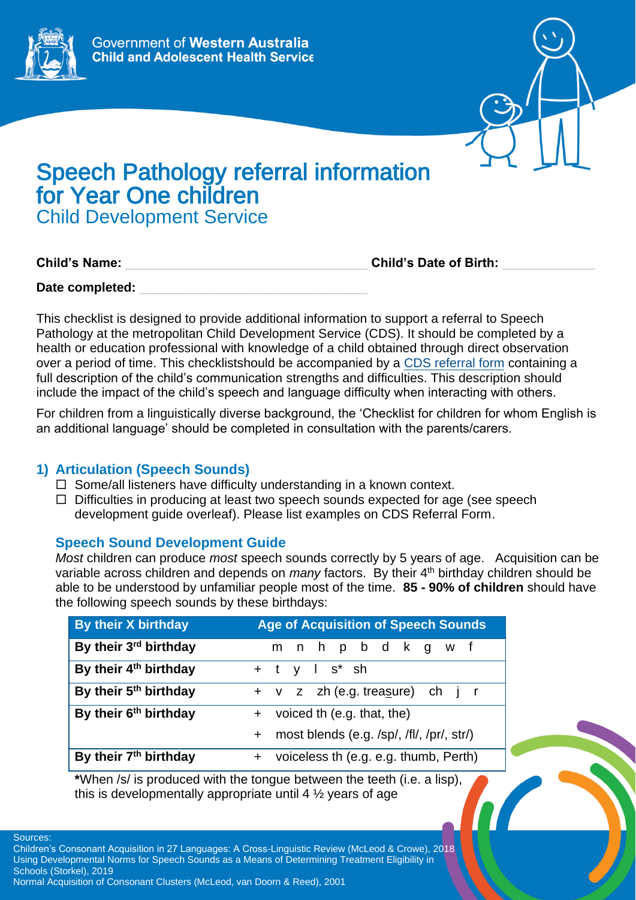



# Speech Pathology referral information for Year One children Child Development Service

**Child's Name:** \_\_\_\_\_\_\_\_\_\_\_\_\_\_\_\_\_\_\_\_\_\_\_\_\_\_\_\_\_\_\_\_\_\_ **Child's Date of Birth:** \_\_\_\_\_\_\_\_\_\_\_\_\_

Date completed:

This checklist is designed to provide additional information to support a referral to Speech Pathology at the metropolitan Child Development Service (CDS). It should be completed by a health or education professional with knowledge of a child obtained through direct observation over a period of time. This checklistshould be accompanied by a [CDS referral form](https://cahs.health.wa.gov.au/our-services/community-health/child-development-service/eligibility-and-referrals) containing a full description of the child's communication strengths and difficulties. This description should include the impact of the child's speech and language difficulty when interacting with others.

For children from a linguistically diverse background, the 'Checklist for children for whom English is an additional language' should be completed in consultation with the parents/carers.

# **1) Articulation (Speech Sounds)**

- $\Box$  Some/all listeners have difficulty understanding in a known context.
- $\Box$  Difficulties in producing at least two speech sounds expected for age (see speech development guide overleaf). Please list examples on CDS Referral Form.

# **Speech Sound Development Guide**

*Most* children can produce *most* speech sounds correctly by 5 years of age. Acquisition can be variable across children and depends on *many* factors. By their 4<sup>th</sup> birthday children should be able to be understood by unfamiliar people most of the time. **85 - 90% of children** should have the following speech sounds by these birthdays:

| <b>By their X birthday</b>        | <b>Age of Acquisition of Speech Sounds</b>  |
|-----------------------------------|---------------------------------------------|
| By their 3rd birthday             | m n h p b d k g w f                         |
| By their 4 <sup>th</sup> birthday | $+$ t y l s <sup>*</sup> sh                 |
| By their 5 <sup>th</sup> birthday | + v z zh (e.g. treasure) ch j r             |
| By their 6 <sup>th</sup> birthday | + voiced th (e.g. that, the)                |
|                                   | + most blends (e.g. /sp/, /fl/, /pr/, str/) |
| By their 7 <sup>th</sup> birthday | + voiceless th (e.g. e.g. thumb, Perth)     |

**\***When /s/ is produced with the tongue between the teeth (i.e. a lisp), this is developmentally appropriate until 4 ½ years of age

Sources:

Children's Consonant Acquisition in 27 Languages: A Cross-Linguistic Review (McLeod & Crowe), 2018 Using Developmental Norms for Speech Sounds as a Means of Determining Treatment Eligibility in Schools (Storkel), 2019 Normal Acquisition of Consonant Clusters (McLeod, van Doorn & Reed), 2001